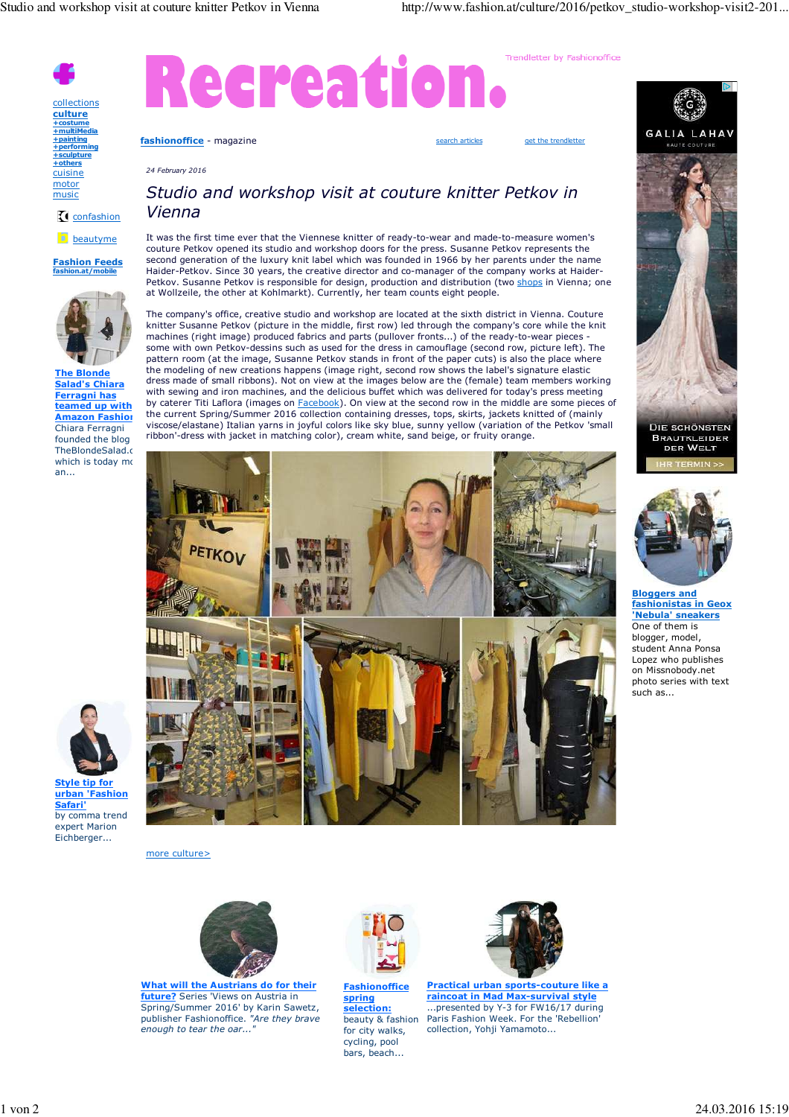*24 February 2016*

Trendletter by Fashionoffice

collections **culture +costume +multiMedia +painting +performing +sculpture +others** cuisine motor

music

confashion

**b** beautyme

**Fashion Feeds fashion.at/mobile**



**The Blonde Salad's Chiara Ferragni has teamed up with Amazon Fashion** Chiara Ferragni founded the blog TheBlondeSalad.c which is today  $m$ an...



**Style tip for urban 'Fashion Safari'** by comma trend expert Marion Eichberger...

## *Studio and workshop visit at couture knitter Petkov in Vienna*

**fashionoffice** - magazine search articles get the trendletter

Recreation

It was the first time ever that the Viennese knitter of ready-to-wear and made-to-measure women's couture Petkov opened its studio and workshop doors for the press. Susanne Petkov represents the second generation of the luxury knit label which was founded in 1966 by her parents under the name Haider-Petkov. Since 30 years, the creative director and co-manager of the company works at Haider-Petkov. Susanne Petkov is responsible for design, production and distribution (two shops in Vienna; one at Wollzeile, the other at Kohlmarkt). Currently, her team counts eight people.

The company's office, creative studio and workshop are located at the sixth district in Vienna. Couture knitter Susanne Petkov (picture in the middle, first row) led through the company's core while the knit machines (right image) produced fabrics and parts (pullover fronts...) of the ready-to-wear pieces some with own Petkov-dessins such as used for the dress in camouflage (second row, picture left). The pattern room (at the image, Susanne Petkov stands in front of the paper cuts) is also the place where the modeling of new creations happens (image right, second row shows the label's signature elastic dress made of small ribbons). Not on view at the images below are the (female) team members working with sewing and iron machines, and the delicious buffet which was delivered for today's press meeting by caterer Titi Laflora (images on Facebook). On view at the second row in the middle are some pieces of the current Spring/Summer 2016 collection containing dresses, tops, skirts, jackets knitted of (mainly viscose/elastane) Italian yarns in joyful colors like sky blue, sunny yellow (variation of the Petkov 'small ribbon'-dress with jacket in matching color), cream white, sand beige, or fruity orange.



more culture>



**What will the Austrians do for their future?** Series 'Views on Austria in Spring/Summer 2016' by Karin Sawetz, publisher Fashionoffice. *"Are they brave enough to tear the oar...* 



**Fashionoffice spring selection:** beauty & fashion for city walks, cycling, pool bars, beach...



**Practical urban sports-couture like a raincoat in Mad Max-survival style** ...presented by Y-3 for FW16/17 during Paris Fashion Week. For the 'Rebellion' collection, Yohji Yamamoto...



BRAUTKLEIDER<br>DER WELT



**Bloggers and fashionistas in Geox 'Nebula' sneakers** One of them is blogger, model, student Anna Ponsa Lopez who publishes on Missnobody.net photo series with text .<br>such as...